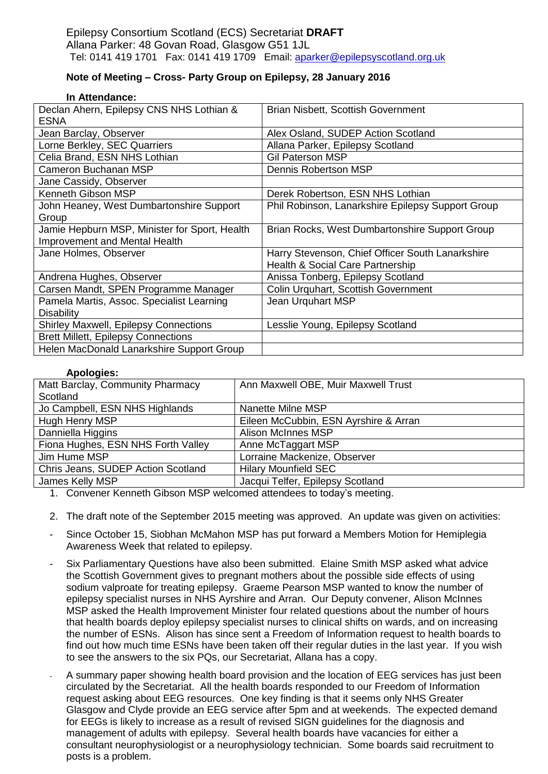## **Note of Meeting – Cross- Party Group on Epilepsy, 28 January 2016**

| In Attendance: |
|----------------|
|----------------|

| Declan Ahern, Epilepsy CNS NHS Lothian &<br><b>ESNA</b> | <b>Brian Nisbett, Scottish Government</b>         |
|---------------------------------------------------------|---------------------------------------------------|
| Jean Barclay, Observer                                  | Alex Osland, SUDEP Action Scotland                |
| Lorne Berkley, SEC Quarriers                            | Allana Parker, Epilepsy Scotland                  |
| Celia Brand, ESN NHS Lothian                            | <b>Gil Paterson MSP</b>                           |
| Cameron Buchanan MSP                                    | <b>Dennis Robertson MSP</b>                       |
| Jane Cassidy, Observer                                  |                                                   |
| <b>Kenneth Gibson MSP</b>                               | Derek Robertson, ESN NHS Lothian                  |
| John Heaney, West Dumbartonshire Support                | Phil Robinson, Lanarkshire Epilepsy Support Group |
| Group                                                   |                                                   |
| Jamie Hepburn MSP, Minister for Sport, Health           | Brian Rocks, West Dumbartonshire Support Group    |
| <b>Improvement and Mental Health</b>                    |                                                   |
| Jane Holmes, Observer                                   | Harry Stevenson, Chief Officer South Lanarkshire  |
|                                                         | Health & Social Care Partnership                  |
| Andrena Hughes, Observer                                | Anissa Tonberg, Epilepsy Scotland                 |
| Carsen Mandt, SPEN Programme Manager                    | Colin Urquhart, Scottish Government               |
| Pamela Martis, Assoc. Specialist Learning               | Jean Urquhart MSP                                 |
| <b>Disability</b>                                       |                                                   |
| Shirley Maxwell, Epilepsy Connections                   | Lesslie Young, Epilepsy Scotland                  |
| <b>Brett Millett, Epilepsy Connections</b>              |                                                   |
| Helen MacDonald Lanarkshire Support Group               |                                                   |

## **Apologies:**

| <b>Apologica.</b>                  |                                       |
|------------------------------------|---------------------------------------|
| Matt Barclay, Community Pharmacy   | Ann Maxwell OBE, Muir Maxwell Trust   |
| Scotland                           |                                       |
| Jo Campbell, ESN NHS Highlands     | Nanette Milne MSP                     |
| Hugh Henry MSP                     | Eileen McCubbin, ESN Ayrshire & Arran |
| Danniella Higgins                  | <b>Alison McInnes MSP</b>             |
| Fiona Hughes, ESN NHS Forth Valley | Anne McTaggart MSP                    |
| Jim Hume MSP                       | Lorraine Mackenize, Observer          |
| Chris Jeans, SUDEP Action Scotland | <b>Hilary Mounfield SEC</b>           |
| James Kelly MSP                    | Jacqui Telfer, Epilepsy Scotland      |
|                                    |                                       |

1. Convener Kenneth Gibson MSP welcomed attendees to today's meeting.

- 2. The draft note of the September 2015 meeting was approved. An update was given on activities:
- Since October 15, Siobhan McMahon MSP has put forward a Members Motion for Hemiplegia Awareness Week that related to epilepsy.
- Six Parliamentary Questions have also been submitted. Elaine Smith MSP asked what advice the Scottish Government gives to pregnant mothers about the possible side effects of using sodium valproate for treating epilepsy. Graeme Pearson MSP wanted to know the number of epilepsy specialist nurses in NHS Ayrshire and Arran. Our Deputy convener, Alison McInnes MSP asked the Health Improvement Minister four related questions about the number of hours that health boards deploy epilepsy specialist nurses to clinical shifts on wards, and on increasing the number of ESNs. Alison has since sent a Freedom of Information request to health boards to find out how much time ESNs have been taken off their regular duties in the last year. If you wish to see the answers to the six PQs, our Secretariat, Allana has a copy.
- A summary paper showing health board provision and the location of EEG services has just been circulated by the Secretariat. All the health boards responded to our Freedom of Information request asking about EEG resources. One key finding is that it seems only NHS Greater Glasgow and Clyde provide an EEG service after 5pm and at weekends. The expected demand for EEGs is likely to increase as a result of revised SIGN guidelines for the diagnosis and management of adults with epilepsy. Several health boards have vacancies for either a consultant neurophysiologist or a neurophysiology technician. Some boards said recruitment to posts is a problem.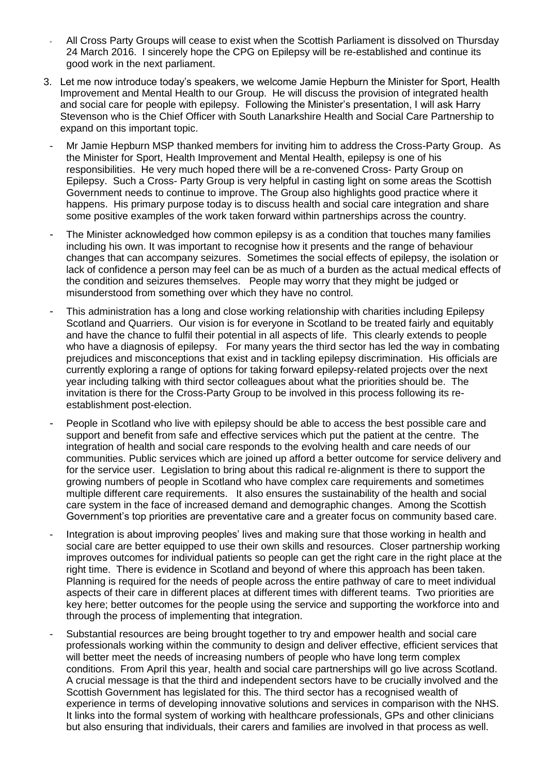- All Cross Party Groups will cease to exist when the Scottish Parliament is dissolved on Thursday 24 March 2016. I sincerely hope the CPG on Epilepsy will be re-established and continue its good work in the next parliament.
- 3. Let me now introduce today's speakers, we welcome Jamie Hepburn the Minister for Sport, Health Improvement and Mental Health to our Group. He will discuss the provision of integrated health and social care for people with epilepsy. Following the Minister's presentation, I will ask Harry Stevenson who is the Chief Officer with South Lanarkshire Health and Social Care Partnership to expand on this important topic.
	- Mr Jamie Hepburn MSP thanked members for inviting him to address the Cross-Party Group. As the Minister for Sport, Health Improvement and Mental Health, epilepsy is one of his responsibilities. He very much hoped there will be a re-convened Cross- Party Group on Epilepsy. Such a Cross- Party Group is very helpful in casting light on some areas the Scottish Government needs to continue to improve. The Group also highlights good practice where it happens. His primary purpose today is to discuss health and social care integration and share some positive examples of the work taken forward within partnerships across the country.
	- The Minister acknowledged how common epilepsy is as a condition that touches many families including his own. It was important to recognise how it presents and the range of behaviour changes that can accompany seizures. Sometimes the social effects of epilepsy, the isolation or lack of confidence a person may feel can be as much of a burden as the actual medical effects of the condition and seizures themselves. People may worry that they might be judged or misunderstood from something over which they have no control.
	- This administration has a long and close working relationship with charities including Epilepsy Scotland and Quarriers. Our vision is for everyone in Scotland to be treated fairly and equitably and have the chance to fulfil their potential in all aspects of life. This clearly extends to people who have a diagnosis of epilepsy. For many years the third sector has led the way in combating prejudices and misconceptions that exist and in tackling epilepsy discrimination. His officials are currently exploring a range of options for taking forward epilepsy-related projects over the next year including talking with third sector colleagues about what the priorities should be. The invitation is there for the Cross-Party Group to be involved in this process following its reestablishment post-election.
	- People in Scotland who live with epilepsy should be able to access the best possible care and support and benefit from safe and effective services which put the patient at the centre. The integration of health and social care responds to the evolving health and care needs of our communities. Public services which are joined up afford a better outcome for service delivery and for the service user. Legislation to bring about this radical re-alignment is there to support the growing numbers of people in Scotland who have complex care requirements and sometimes multiple different care requirements. It also ensures the sustainability of the health and social care system in the face of increased demand and demographic changes. Among the Scottish Government's top priorities are preventative care and a greater focus on community based care.
	- Integration is about improving peoples' lives and making sure that those working in health and social care are better equipped to use their own skills and resources. Closer partnership working improves outcomes for individual patients so people can get the right care in the right place at the right time. There is evidence in Scotland and beyond of where this approach has been taken. Planning is required for the needs of people across the entire pathway of care to meet individual aspects of their care in different places at different times with different teams. Two priorities are key here; better outcomes for the people using the service and supporting the workforce into and through the process of implementing that integration.
	- Substantial resources are being brought together to try and empower health and social care professionals working within the community to design and deliver effective, efficient services that will better meet the needs of increasing numbers of people who have long term complex conditions. From April this year, health and social care partnerships will go live across Scotland. A crucial message is that the third and independent sectors have to be crucially involved and the Scottish Government has legislated for this. The third sector has a recognised wealth of experience in terms of developing innovative solutions and services in comparison with the NHS. It links into the formal system of working with healthcare professionals, GPs and other clinicians but also ensuring that individuals, their carers and families are involved in that process as well.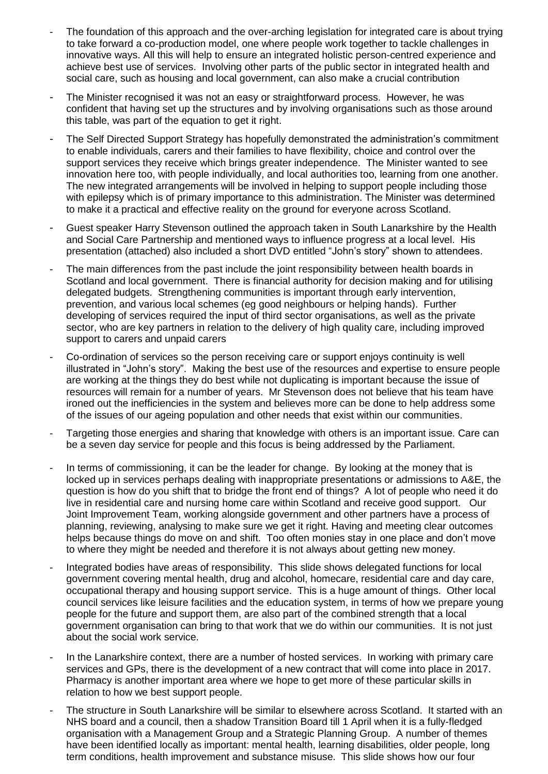- The foundation of this approach and the over-arching legislation for integrated care is about trying to take forward a co-production model, one where people work together to tackle challenges in innovative ways. All this will help to ensure an integrated holistic person-centred experience and achieve best use of services. Involving other parts of the public sector in integrated health and social care, such as housing and local government, can also make a crucial contribution
- The Minister recognised it was not an easy or straightforward process. However, he was confident that having set up the structures and by involving organisations such as those around this table, was part of the equation to get it right.
- The Self Directed Support Strategy has hopefully demonstrated the administration's commitment to enable individuals, carers and their families to have flexibility, choice and control over the support services they receive which brings greater independence. The Minister wanted to see innovation here too, with people individually, and local authorities too, learning from one another. The new integrated arrangements will be involved in helping to support people including those with epilepsy which is of primary importance to this administration. The Minister was determined to make it a practical and effective reality on the ground for everyone across Scotland.
- Guest speaker Harry Stevenson outlined the approach taken in South Lanarkshire by the Health and Social Care Partnership and mentioned ways to influence progress at a local level. His presentation (attached) also included a short DVD entitled "John's story" shown to attendees.
- The main differences from the past include the joint responsibility between health boards in Scotland and local government. There is financial authority for decision making and for utilising delegated budgets. Strengthening communities is important through early intervention, prevention, and various local schemes (eg good neighbours or helping hands). Further developing of services required the input of third sector organisations, as well as the private sector, who are key partners in relation to the delivery of high quality care, including improved support to carers and unpaid carers
- Co-ordination of services so the person receiving care or support enjoys continuity is well illustrated in "John's story". Making the best use of the resources and expertise to ensure people are working at the things they do best while not duplicating is important because the issue of resources will remain for a number of years. Mr Stevenson does not believe that his team have ironed out the inefficiencies in the system and believes more can be done to help address some of the issues of our ageing population and other needs that exist within our communities.
- Targeting those energies and sharing that knowledge with others is an important issue. Care can be a seven day service for people and this focus is being addressed by the Parliament.
- In terms of commissioning, it can be the leader for change. By looking at the money that is locked up in services perhaps dealing with inappropriate presentations or admissions to A&E, the question is how do you shift that to bridge the front end of things? A lot of people who need it do live in residential care and nursing home care within Scotland and receive good support. Our Joint Improvement Team, working alongside government and other partners have a process of planning, reviewing, analysing to make sure we get it right. Having and meeting clear outcomes helps because things do move on and shift. Too often monies stay in one place and don't move to where they might be needed and therefore it is not always about getting new money.
- Integrated bodies have areas of responsibility. This slide shows delegated functions for local government covering mental health, drug and alcohol, homecare, residential care and day care, occupational therapy and housing support service. This is a huge amount of things. Other local council services like leisure facilities and the education system, in terms of how we prepare young people for the future and support them, are also part of the combined strength that a local government organisation can bring to that work that we do within our communities. It is not just about the social work service.
- In the Lanarkshire context, there are a number of hosted services. In working with primary care services and GPs, there is the development of a new contract that will come into place in 2017. Pharmacy is another important area where we hope to get more of these particular skills in relation to how we best support people.
- The structure in South Lanarkshire will be similar to elsewhere across Scotland. It started with an NHS board and a council, then a shadow Transition Board till 1 April when it is a fully-fledged organisation with a Management Group and a Strategic Planning Group. A number of themes have been identified locally as important: mental health, learning disabilities, older people, long term conditions, health improvement and substance misuse. This slide shows how our four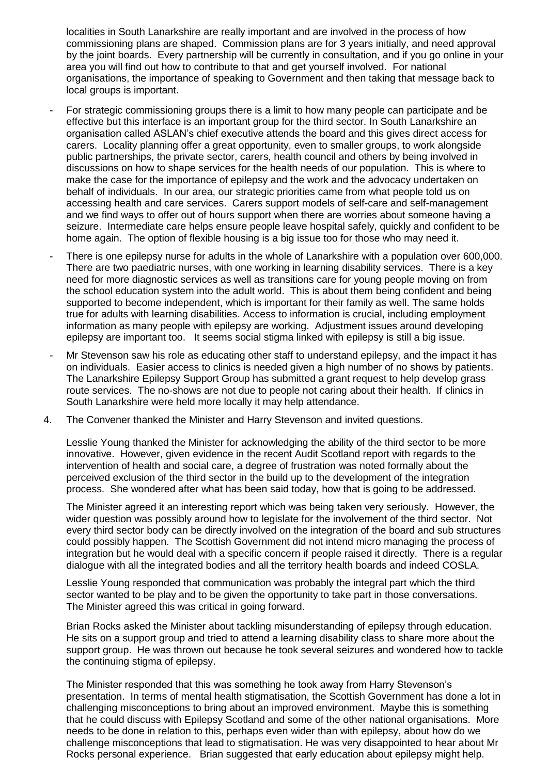localities in South Lanarkshire are really important and are involved in the process of how commissioning plans are shaped. Commission plans are for 3 years initially, and need approval by the joint boards. Every partnership will be currently in consultation, and if you go online in your area you will find out how to contribute to that and get yourself involved. For national organisations, the importance of speaking to Government and then taking that message back to local groups is important.

- For strategic commissioning groups there is a limit to how many people can participate and be effective but this interface is an important group for the third sector. In South Lanarkshire an organisation called ASLAN's chief executive attends the board and this gives direct access for carers. Locality planning offer a great opportunity, even to smaller groups, to work alongside public partnerships, the private sector, carers, health council and others by being involved in discussions on how to shape services for the health needs of our population. This is where to make the case for the importance of epilepsy and the work and the advocacy undertaken on behalf of individuals. In our area, our strategic priorities came from what people told us on accessing health and care services. Carers support models of self-care and self-management and we find ways to offer out of hours support when there are worries about someone having a seizure. Intermediate care helps ensure people leave hospital safely, quickly and confident to be home again. The option of flexible housing is a big issue too for those who may need it.
- There is one epilepsy nurse for adults in the whole of Lanarkshire with a population over 600,000. There are two paediatric nurses, with one working in learning disability services. There is a key need for more diagnostic services as well as transitions care for young people moving on from the school education system into the adult world. This is about them being confident and being supported to become independent, which is important for their family as well. The same holds true for adults with learning disabilities. Access to information is crucial, including employment information as many people with epilepsy are working. Adjustment issues around developing epilepsy are important too. It seems social stigma linked with epilepsy is still a big issue.
- Mr Stevenson saw his role as educating other staff to understand epilepsy, and the impact it has on individuals. Easier access to clinics is needed given a high number of no shows by patients. The Lanarkshire Epilepsy Support Group has submitted a grant request to help develop grass route services. The no-shows are not due to people not caring about their health. If clinics in South Lanarkshire were held more locally it may help attendance.
- 4. The Convener thanked the Minister and Harry Stevenson and invited questions.

Lesslie Young thanked the Minister for acknowledging the ability of the third sector to be more innovative. However, given evidence in the recent Audit Scotland report with regards to the intervention of health and social care, a degree of frustration was noted formally about the perceived exclusion of the third sector in the build up to the development of the integration process. She wondered after what has been said today, how that is going to be addressed.

The Minister agreed it an interesting report which was being taken very seriously. However, the wider question was possibly around how to legislate for the involvement of the third sector. Not every third sector body can be directly involved on the integration of the board and sub structures could possibly happen. The Scottish Government did not intend micro managing the process of integration but he would deal with a specific concern if people raised it directly. There is a regular dialogue with all the integrated bodies and all the territory health boards and indeed COSLA.

Lesslie Young responded that communication was probably the integral part which the third sector wanted to be play and to be given the opportunity to take part in those conversations. The Minister agreed this was critical in going forward.

Brian Rocks asked the Minister about tackling misunderstanding of epilepsy through education. He sits on a support group and tried to attend a learning disability class to share more about the support group. He was thrown out because he took several seizures and wondered how to tackle the continuing stigma of epilepsy.

The Minister responded that this was something he took away from Harry Stevenson's presentation. In terms of mental health stigmatisation, the Scottish Government has done a lot in challenging misconceptions to bring about an improved environment. Maybe this is something that he could discuss with Epilepsy Scotland and some of the other national organisations. More needs to be done in relation to this, perhaps even wider than with epilepsy, about how do we challenge misconceptions that lead to stigmatisation. He was very disappointed to hear about Mr Rocks personal experience. Brian suggested that early education about epilepsy might help.